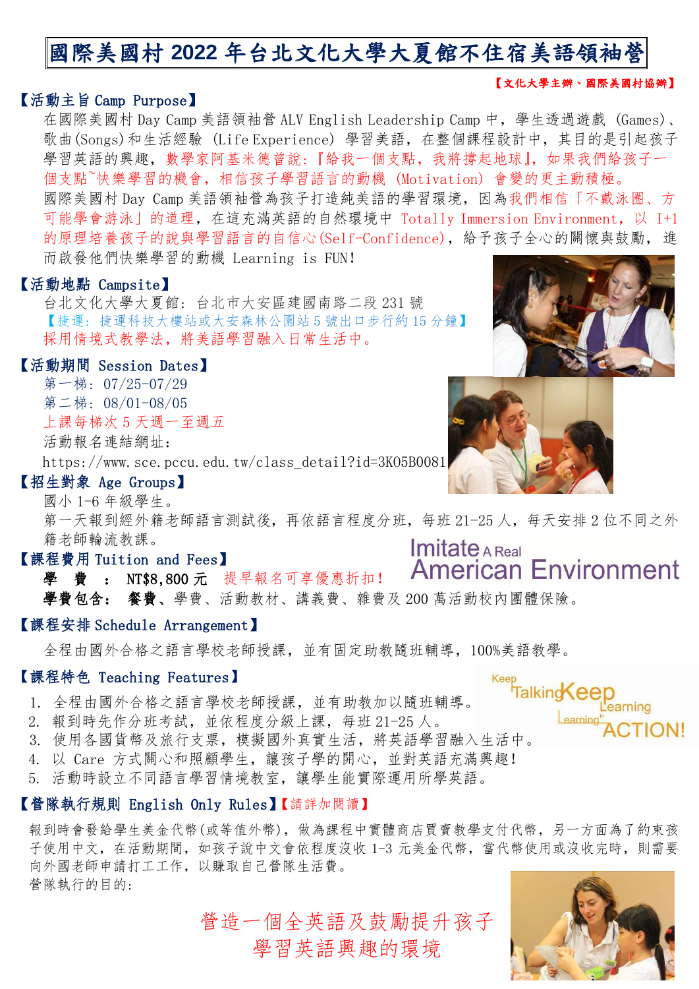# 國際美國村 **2022** 年台北文化大學大夏館不住宿美語領袖營

#### 【文化大學主辦、國際美國村協辦】

#### 【活動主旨 Camp Purpose】

在國際美國村 Day Camp 美語領袖營 ALV English Leadership Camp 中,學生透過遊戲 (Games)、 歌曲(Songs)和生活經驗 (Life Experience) 學習美語,在整個課程設計中,其目的是引起孩子 學習英語的興趣,數學家阿基米德曾說:『給我一個支點,我將撐起地球』,如果我們給孩子一 個支點~快樂學習的機會,相信孩子學習語言的動機 (Motivation) 會變的更主動積極。

國際美國村 Day Camp 美語領袖營為孩子打造純美語的學習環境,因為我們相信「不戴泳圈、方 可能學會游泳」的道理,在這充滿英語的自然環境中 Totally Immersion Environment,以 I+1 的原理培養孩子的說與學習語言的自信心(Self-Confidence),給予孩子全心的關懷與鼓勵,進 而啟發他們快樂學習的動機 Learning is FUN!

#### 【活動地點 Campsite】

 台北文化大學大夏館: 台北市大安區建國南路二段 231 號 【捷運: 捷運科技大樓站或大安森林公園站 5 號出口步行約 15 分鐘】 採用情境式教學法,將美語學習融入日常生活中。

#### 【活動期間 Session Dates】

 第一梯: 07/25-07/29 第二梯: 08/01-08/05 上課每梯次 5 天週一至週五

活動報名連結網址:

https://www.sce.pccu.edu.tw/class\_detail?id=3K05B0081

#### 【招生對象 Age Groups】

國小 1-6 年級學生。

第一天報到經外籍老師語言測試後,再依語言程度分班,每班 21-25 人,每天安排 2 位不同之外 籍老師輪流教課。 **Imitate A Real** 

#### 【課程費用 Tuition and Fees】

**American Environment** 學 費: NT\$8,800 元 提早報名可享優惠折扣! 學費包含: 餐費、學費、活動教材、講義費、雜費及 200 萬活動校內團體保險。

#### 【課程安排 Schedule Arrangement】

全程由國外合格之語言學校老師授課,並有固定助教隨班輔導,100%美語教學。

#### 【課程特色 Teaching Features】

- 1. 全程由國外合格之語言學校老師授課,並有助教加以隨班輔導。
- 2. 報到時先作分班考試,並依程度分級上課,每班 21-25 人。
- 3. 使用各國貨幣及旅行支票,模擬國外真實生活,將英語學習融入生活中。
- 4. 以 Care 方式關心和照顧學生,讓孩子學的開心,並對英語充滿興趣!
- 5. 活動時設立不同語言學習情境教室,讓學生能實際運用所學英語。

#### 【營隊執行規則 English Only Rules】【請詳加閱讀】

報到時會發給學生美金代幣(或等值外幣),做為課程中實體商店買賣教學支付代幣,另一方面為了約束孩 子使用中文,在活動期間,如孩子說中文會依程度沒收 1-3 元美金代幣, 當代幣使用或沒收完時, 則需要 向外國老師申請打工工作,以賺取自己營隊生活費。 營隊執行的目的:

> 營造一個全英語及鼓勵提升孩子 學習英語興趣的環境